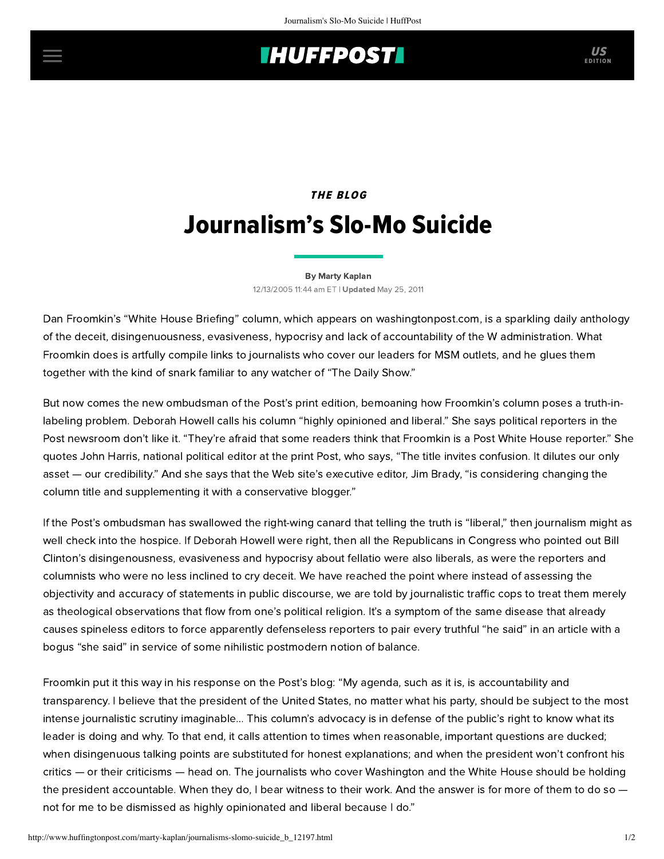## **INUFFPOSTI** US

## THE BLOG Journalism's Slo-Mo Suicide

## [By Marty Kaplan](http://www.huffingtonpost.com/author/marty-kaplan)

12/13/2005 11:44 am ET | Updated May 25, 2011

Dan Froomkin's ["White House Briefing"](http://www.washingtonpost.com/wp-dyn/content/linkset/2005/04/11/LI2005041100879.html) column, which appears on washingtonpost.com, is a sparkling daily anthology of the deceit, disingenuousness, evasiveness, hypocrisy and lack of accountability of the W administration. What Froomkin does is artfully compile links to journalists who cover our leaders for MSM outlets, and he glues them together with the kind of snark familiar to any watcher of "The Daily Show."

But now comes the new ombudsman of the Post's print edition, bemoaning how Froomkin's column poses a truth-inlabeling problem. [Deborah Howell](http://www.washingtonpost.com/wp-dyn/content/article/2005/12/10/AR2005121000938.html) calls his column "highly opinioned and liberal." She says political reporters in the Post newsroom don't like it. "They're afraid that some readers think that Froomkin is a Post White House reporter." She quotes John Harris, national political editor at the print Post, who says, "The title invites confusion. It dilutes our only asset — our credibility." And she says that the Web site's executive editor, Jim Brady, "is considering changing the column title and supplementing it with a conservative blogger."

If the Post's ombudsman has swallowed the right-wing canard that telling the truth is "liberal," then journalism might as well check into the hospice. If Deborah Howell were right, then all the Republicans in Congress who pointed out Bill Clinton's disingenousness, evasiveness and hypocrisy about fellatio were also liberals, as were the reporters and columnists who were no less inclined to cry deceit. We have reached the point where instead of assessing the objectivity and accuracy of statements in public discourse, we are told by journalistic traffic cops to treat them merely as theological observations that flow from one's political religion. It's a symptom of the same disease that already causes spineless editors to force apparently defenseless reporters to pair every truthful "he said" in an article with a bogus "she said" in service of some nihilistic postmodern notion of balance.

Froomkin put it this way in his [response](http://blogs.washingtonpost.com/washpostblog/2005/12/white_house_bri.html) on the Post's blog: "My agenda, such as it is, is accountability and transparency. I believe that the president of the United States, no matter what his party, should be subject to the most intense journalistic scrutiny imaginable… This column's advocacy is in defense of the public's right to know what its leader is doing and why. To that end, it calls attention to times when reasonable, important questions are ducked; when disingenuous talking points are substituted for honest explanations; and when the president won't confront his critics — or their criticisms — head on. The journalists who cover Washington and the White House should be holding the president accountable. When they do, I bear witness to their work. And the answer is for more of them to do so  $$ not for me to be dismissed as highly opinionated and liberal because I do."